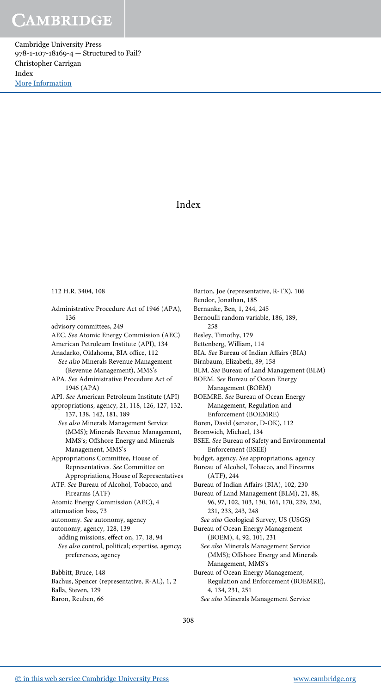Cambridge University Press 978-1-107-18169-4 — Structured to Fail? Christopher Carrigan Index [More Information](www.cambridge.org/9781107181694)

## Index

## 112 H.R. 3404, 108

Administrative Procedure Act of 1946 (APA), 136 advisory committees, 249 AEC. See Atomic Energy Commission (AEC) American Petroleum Institute (API), 134 Anadarko, Oklahoma, BIA office, 112 See also Minerals Revenue Management (Revenue Management), MMS's APA. See Administrative Procedure Act of 1946 (APA) API. See American Petroleum Institute (API) appropriations, agency, 21, 118, 126, 127, 132, 137, 138, 142, 181, 189 See also Minerals Management Service (MMS); Minerals Revenue Management, MMS's; Offshore Energy and Minerals Management, MMS's Appropriations Committee, House of Representatives. See Committee on Appropriations, House of Representatives ATF. See Bureau of Alcohol, Tobacco, and Firearms (ATF) Atomic Energy Commission (AEC), 4 attenuation bias, 73 autonomy. See autonomy, agency autonomy, agency, 128, 139 adding missions, effect on, 17, 18, 94 See also control, political; expertise, agency; preferences, agency Babbitt, Bruce, 148

Bachus, Spencer (representative, R-AL), 1, 2 Balla, Steven, 129 Baron, Reuben, 66

Barton, Joe (representative, R-TX), 106 Bendor, Jonathan, 185 Bernanke, Ben, 1, 244, 245 Bernoulli random variable, 186, 189, 258 Besley, Timothy, 179 Bettenberg, William, 114 BIA. See Bureau of Indian Affairs (BIA) Birnbaum, Elizabeth, 89, 158 BLM. See Bureau of Land Management (BLM) BOEM. See Bureau of Ocean Energy Management (BOEM) BOEMRE. See Bureau of Ocean Energy Management, Regulation and Enforcement (BOEMRE) Boren, David (senator, D-OK), 112 Bromwich, Michael, 134 BSEE. See Bureau of Safety and Environmental Enforcement (BSEE) budget, agency. See appropriations, agency Bureau of Alcohol, Tobacco, and Firearms (ATF), 244 Bureau of Indian Affairs (BIA), 102, 230 Bureau of Land Management (BLM), 21, 88, 96, 97, 102, 103, 130, 161, 170, 229, 230, 231, 233, 243, 248 See also Geological Survey, US (USGS) Bureau of Ocean Energy Management (BOEM), 4, 92, 101, 231 See also Minerals Management Service (MMS); Offshore Energy and Minerals Management, MMS's Bureau of Ocean Energy Management, Regulation and Enforcement (BOEMRE), 4, 134, 231, 251

See also Minerals Management Service

308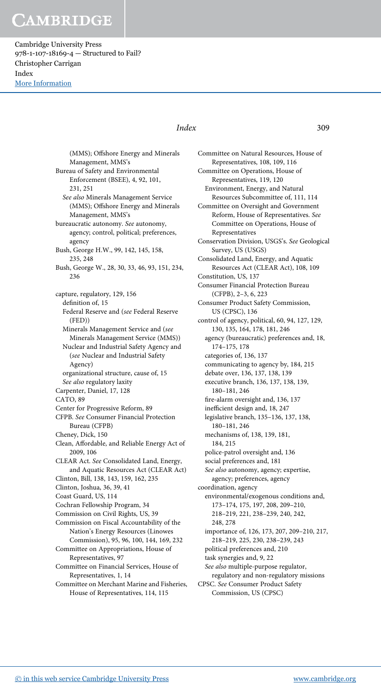Cambridge University Press 978-1-107-18169-4 — Structured to Fail? Christopher Carrigan Index [More Information](www.cambridge.org/9781107181694)

### Index 309

(MMS); Offshore Energy and Minerals Management, MMS's Bureau of Safety and Environmental Enforcement (BSEE), 4, 92, 101, 231, 251 See also Minerals Management Service (MMS); Offshore Energy and Minerals Management, MMS's bureaucratic autonomy. See autonomy, agency; control, political; preferences, agency Bush, George H.W., 99, 142, 145, 158, 235, 248 Bush, George W., 28, 30, 33, 46, 93, 151, 234, 236 capture, regulatory, 129, 156 definition of, 15 Federal Reserve and (see Federal Reserve (FED)) Minerals Management Service and (see Minerals Management Service (MMS)) Nuclear and Industrial Safety Agency and (see Nuclear and Industrial Safety Agency) organizational structure, cause of, 15 See also regulatory laxity Carpenter, Daniel, 17, 128 CATO, 89 Center for Progressive Reform, 89 CFPB. See Consumer Financial Protection Bureau (CFPB) Cheney, Dick, 150 Clean, Affordable, and Reliable Energy Act of 2009, 106 CLEAR Act. See Consolidated Land, Energy, and Aquatic Resources Act (CLEAR Act) Clinton, Bill, 138, 143, 159, 162, 235 Clinton, Joshua, 36, 39, 41 Coast Guard, US, 114 Cochran Fellowship Program, 34 Commission on Civil Rights, US, 39 Commission on Fiscal Accountability of the Nation's Energy Resources (Linowes Commission), 95, 96, 100, 144, 169, 232 Committee on Appropriations, House of Representatives, 97 Committee on Financial Services, House of Representatives, 1, 14 Committee on Merchant Marine and Fisheries, House of Representatives, 114, 115

Committee on Natural Resources, House of Representatives, 108, 109, 116 Committee on Operations, House of Representatives, 119, 120 Environment, Energy, and Natural Resources Subcommittee of, 111, 114 Committee on Oversight and Government Reform, House of Representatives. See Committee on Operations, House of Representatives Conservation Division, USGS's. See Geological Survey, US (USGS) Consolidated Land, Energy, and Aquatic Resources Act (CLEAR Act), 108, 109 Constitution, US, 137 Consumer Financial Protection Bureau (CFPB), 2–3, 6, 223 Consumer Product Safety Commission, US (CPSC), 136 control of agency, political, 60, 94, 127, 129, 130, 135, 164, 178, 181, 246 agency (bureaucratic) preferences and, 18, 174–175, 178 categories of, 136, 137 communicating to agency by, 184, 215 debate over, 136, 137, 138, 139 executive branch, 136, 137, 138, 139, 180–181, 246 fire-alarm oversight and, 136, 137 inefficient design and, 18, 247 legislative branch, 135–136, 137, 138, 180–181, 246 mechanisms of, 138, 139, 181, 184, 215 police-patrol oversight and, 136 social preferences and, 181 See also autonomy, agency; expertise, agency; preferences, agency coordination, agency environmental/exogenous conditions and, 173–174, 175, 197, 208, 209–210, 218–219, 221, 238–239, 240, 242, 248, 278 importance of, 126, 173, 207, 209–210, 217, 218–219, 225, 230, 238–239, 243 political preferences and, 210 task synergies and, 9, 22 See also multiple-purpose regulator, regulatory and non-regulatory missions CPSC. See Consumer Product Safety Commission, US (CPSC)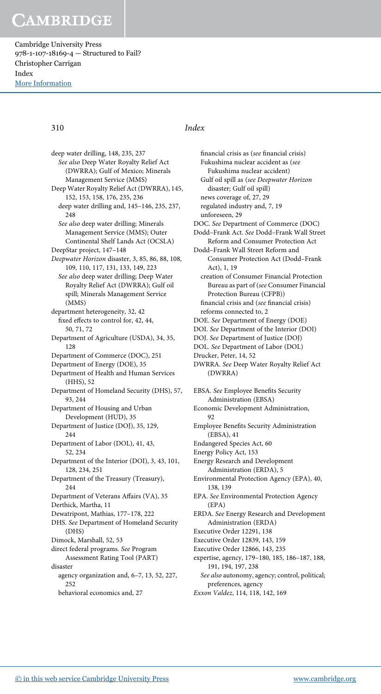Cambridge University Press 978-1-107-18169-4 — Structured to Fail? Christopher Carrigan Index [More Information](www.cambridge.org/9781107181694)

deep water drilling, 148, 235, 237 See also Deep Water Royalty Relief Act (DWRRA); Gulf of Mexico; Minerals Management Service (MMS) Deep Water Royalty Relief Act (DWRRA), 145, 152, 153, 158, 176, 235, 236 deep water drilling and, 145–146, 235, 237, 248 See also deep water drilling; Minerals Management Service (MMS); Outer Continental Shelf Lands Act (OCSLA) DeepStar project, 147–148 Deepwater Horizon disaster, 3, 85, 86, 88, 108, 109, 110, 117, 131, 133, 149, 223 See also deep water drilling; Deep Water Royalty Relief Act (DWRRA); Gulf oil spill; Minerals Management Service (MMS) department heterogeneity, 32, 42 fixed effects to control for, 42, 44, 50, 71, 72 Department of Agriculture (USDA), 34, 35, 128 Department of Commerce (DOC), 251 Department of Energy (DOE), 35 Department of Health and Human Services (HHS), 52 Department of Homeland Security (DHS), 57, 93, 244 Department of Housing and Urban Development (HUD), 35 Department of Justice (DOJ), 35, 129, 244 Department of Labor (DOL), 41, 43, 52, 234 Department of the Interior (DOI), 3, 43, 101, 128, 234, 251 Department of the Treasury (Treasury), 244 Department of Veterans Affairs (VA), 35 Derthick, Martha, 11 Dewatripont, Mathias, 177–178, 222

- DHS. See Department of Homeland Security (DHS)
- Dimock, Marshall, 52, 53
- direct federal programs. See Program Assessment Rating Tool (PART)
- disaster agency organization and, 6–7, 13, 52, 227, 252
	- behavioral economics and, 27

## 310 Index

financial crisis as (see financial crisis) Fukushima nuclear accident as (see Fukushima nuclear accident) Gulf oil spill as (see Deepwater Horizon disaster; Gulf oil spill) news coverage of, 27, 29 regulated industry and, 7, 19 unforeseen, 29 DOC. See Department of Commerce (DOC) Dodd–Frank Act. See Dodd–Frank Wall Street Reform and Consumer Protection Act Dodd–Frank Wall Street Reform and Consumer Protection Act (Dodd–Frank Act), 1, 19 creation of Consumer Financial Protection Bureau as part of (see Consumer Financial Protection Bureau (CFPB)) financial crisis and (see financial crisis) reforms connected to, 2 DOE. See Department of Energy (DOE) DOI. See Department of the Interior (DOI) DOJ. See Department of Justice (DOJ) DOL. See Department of Labor (DOL) Drucker, Peter, 14, 52 DWRRA. See Deep Water Royalty Relief Act (DWRRA) EBSA. See Employee Benefits Security Administration (EBSA) Economic Development Administration,  $92$ Employee Benefits Security Administration (EBSA), 41 Endangered Species Act, 60 Energy Policy Act, 153 Energy Research and Development Administration (ERDA), 5 Environmental Protection Agency (EPA), 40, 138, 139 EPA. See Environmental Protection Agency (EPA) ERDA. See Energy Research and Development Administration (ERDA) Executive Order 12291, 138 Executive Order 12839, 143, 159 Executive Order 12866, 143, 235 expertise, agency, 179–180, 185, 186–187, 188, 191, 194, 197, 238 See also autonomy, agency; control, political; preferences, agency Exxon Valdez, 114, 118, 142, 169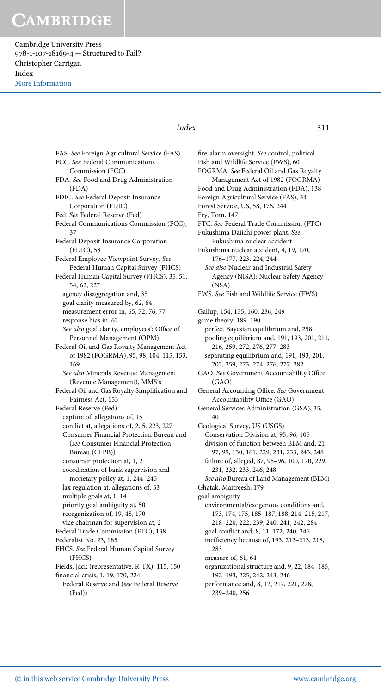Cambridge University Press 978-1-107-18169-4 — Structured to Fail? Christopher Carrigan Index [More Information](www.cambridge.org/9781107181694)

## Index 311

FAS. See Foreign Agricultural Service (FAS) FCC. See Federal Communications Commission (FCC) FDA. See Food and Drug Administration (FDA) FDIC. See Federal Deposit Insurance Corporation (FDIC) Fed. See Federal Reserve (Fed) Federal Communications Commission (FCC), 37 Federal Deposit Insurance Corporation (FDIC), 58 Federal Employee Viewpoint Survey. See Federal Human Capital Survey (FHCS) Federal Human Capital Survey (FHCS), 35, 51, 54, 62, 227 agency disaggregation and, 35 goal clarity measured by, 62, 64 measurement error in, 65, 72, 76, 77 response bias in, 62 See also goal clarity, employees'; Office of Personnel Management (OPM) Federal Oil and Gas Royalty Management Act of 1982 (FOGRMA), 95, 98, 104, 115, 153, 169 See also Minerals Revenue Management (Revenue Management), MMS's Federal Oil and Gas Royalty Simplification and Fairness Act, 153 Federal Reserve (Fed) capture of, allegations of, 15 conflict at, allegations of, 2, 5, 223, 227 Consumer Financial Protection Bureau and (see Consumer Financial Protection Bureau (CFPB)) consumer protection at, 1, 2 coordination of bank supervision and monetary policy at, 1, 244–245 lax regulation at, allegations of, 53 multiple goals at, 1, 14 priority goal ambiguity at, 50 reorganization of, 19, 48, 170 vice chairman for supervision at, 2 Federal Trade Commission (FTC), 138 Federalist No. 23, 185 FHCS. See Federal Human Capital Survey (FHCS) Fields, Jack (representative, R-TX), 115, 150 financial crisis, 1, 19, 170, 224 Federal Reserve and (see Federal Reserve

(Fed))

fire-alarm oversight. See control, political Fish and Wildlife Service (FWS), 60 FOGRMA. See Federal Oil and Gas Royalty Management Act of 1982 (FOGRMA) Food and Drug Administration (FDA), 138 Foreign Agricultural Service (FAS), 34 Forest Service, US, 58, 176, 244 Fry, Tom, 147 FTC. See Federal Trade Commission (FTC) Fukushima Daiichi power plant. See Fukushima nuclear accident Fukushima nuclear accident, 4, 19, 170, 176–177, 223, 224, 244 See also Nuclear and Industrial Safety Agency (NISA); Nuclear Safety Agency (NSA) FWS. See Fish and Wildlife Service (FWS) Gallup, 154, 155, 160, 236, 249 game theory, 189–190 perfect Bayesian equilibrium and, 258 pooling equilibrium and, 191, 193, 201, 211, 216, 259, 272, 276, 277, 283 separating equilibrium and, 191, 193, 201, 202, 259, 273–274, 276, 277, 282 GAO. See Government Accountability Office (GAO) General Accounting Office. See Government Accountability Office (GAO) General Services Administration (GSA), 35, 40 Geological Survey, US (USGS) Conservation Division at, 95, 96, 105 division of function between BLM and, 21, 97, 99, 130, 161, 229, 231, 233, 243, 248 failure of, alleged, 87, 95–96, 100, 170, 229, 231, 232, 233, 246, 248 See also Bureau of Land Management (BLM) Ghatak, Maitreesh, 179 goal ambiguity environmental/exogenous conditions and, 173, 174, 175, 185–187, 188, 214–215, 217, 218–220, 222, 239, 240, 241, 242, 284 goal conflict and, 8, 11, 172, 240, 246 inefficiency because of, 193, 212–213, 218, 283 measure of, 61, 64 organizational structure and, 9, 22, 184–185, 192–193, 225, 242, 243, 246 performance and, 8, 12, 217, 221, 228, 239–240, 256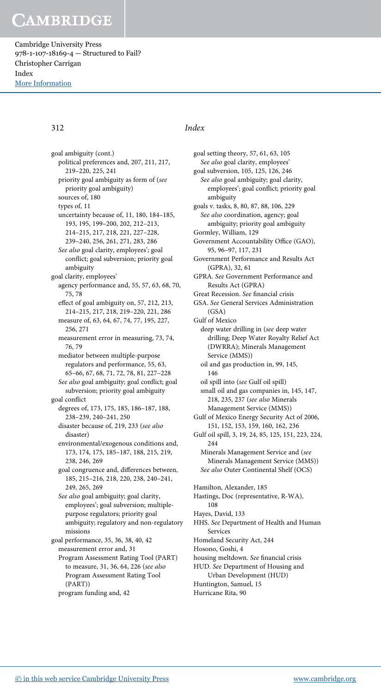Cambridge University Press 978-1-107-18169-4 — Structured to Fail? Christopher Carrigan Index [More Information](www.cambridge.org/9781107181694)

312 Index

goal ambiguity (cont.) political preferences and, 207, 211, 217, 219–220, 225, 241 priority goal ambiguity as form of (see priority goal ambiguity) sources of, 180 types of, 11 uncertainty because of, 11, 180, 184–185, 193, 195, 199–200, 202, 212–213, 214–215, 217, 218, 221, 227–228, 239–240, 256, 261, 271, 283, 286 See also goal clarity, employees'; goal conflict; goal subversion; priority goal ambiguity goal clarity, employees' agency performance and, 55, 57, 63, 68, 70, 75, 78 effect of goal ambiguity on, 57, 212, 213, 214–215, 217, 218, 219–220, 221, 286 measure of, 63, 64, 67, 74, 77, 195, 227, 256, 271 measurement error in measuring, 73, 74, 76, 79 mediator between multiple-purpose regulators and performance, 55, 63, 65–66, 67, 68, 71, 72, 78, 81, 227–228 See also goal ambiguity; goal conflict; goal subversion; priority goal ambiguity goal conflict degrees of, 173, 175, 185, 186–187, 188, 238–239, 240–241, 250 disaster because of, 219, 233 (see also disaster) environmental/exogenous conditions and, 173, 174, 175, 185–187, 188, 215, 219, 238, 246, 269 goal congruence and, differences between, 185, 215–216, 218, 220, 238, 240–241, 249, 265, 269 See also goal ambiguity; goal clarity, employees'; goal subversion; multiplepurpose regulators; priority goal ambiguity; regulatory and non-regulatory missions goal performance, 35, 36, 38, 40, 42 measurement error and, 31 Program Assessment Rating Tool (PART) to measure, 31, 36, 64, 226 (see also Program Assessment Rating Tool (PART))

program funding and, 42

goal setting theory, 57, 61, 63, 105 See also goal clarity, employees' goal subversion, 105, 125, 126, 246 See also goal ambiguity; goal clarity, employees'; goal conflict; priority goal ambiguity goals v. tasks, 8, 80, 87, 88, 106, 229 See also coordination, agency; goal ambiguity; priority goal ambiguity Gormley, William, 129 Government Accountability Office (GAO), 95, 96–97, 117, 231 Government Performance and Results Act (GPRA), 32, 61 GPRA. See Government Performance and Results Act (GPRA) Great Recession. See financial crisis GSA. See General Services Administration  $(GSA)$ Gulf of Mexico deep water drilling in (see deep water drilling; Deep Water Royalty Relief Act (DWRRA); Minerals Management Service (MMS)) oil and gas production in, 99, 145, 146 oil spill into (see Gulf oil spill) small oil and gas companies in, 145, 147, 218, 235, 237 (see also Minerals Management Service (MMS)) Gulf of Mexico Energy Security Act of 2006, 151, 152, 153, 159, 160, 162, 236 Gulf oil spill, 3, 19, 24, 85, 125, 151, 223, 224, 244 Minerals Management Service and (see Minerals Management Service (MMS)) See also Outer Continental Shelf (OCS) Hamilton, Alexander, 185 Hastings, Doc (representative, R-WA), 108 Hayes, David, 133 HHS. See Department of Health and Human Services Homeland Security Act, 244 Hosono, Goshi, 4 housing meltdown. See financial crisis

HUD. See Department of Housing and

Urban Development (HUD) Huntington, Samuel, 15

Hurricane Rita, 90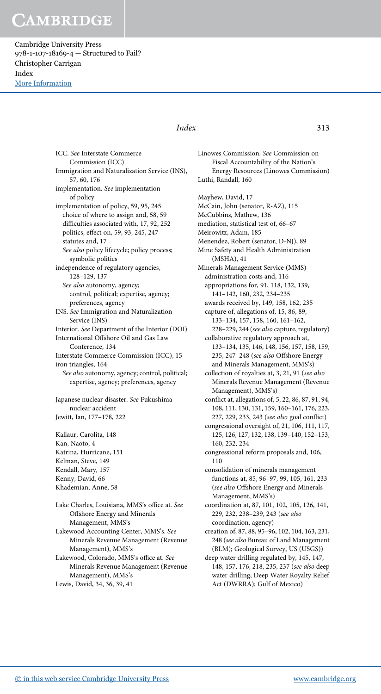Cambridge University Press 978-1-107-18169-4 — Structured to Fail? Christopher Carrigan Index [More Information](www.cambridge.org/9781107181694)

### Index 313

ICC. See Interstate Commerce Commission (ICC) Immigration and Naturalization Service (INS), 57, 60, 176 implementation. See implementation of policy implementation of policy, 59, 95, 245 choice of where to assign and, 58, 59 difficulties associated with, 17, 92, 252 politics, effect on, 59, 93, 245, 247 statutes and, 17 See also policy lifecycle; policy process; symbolic politics independence of regulatory agencies, 128–129, 137 See also autonomy, agency; control, political; expertise, agency; preferences, agency INS. See Immigration and Naturalization Service (INS) Interior. See Department of the Interior (DOI) International Offshore Oil and Gas Law Conference, 134 Interstate Commerce Commission (ICC), 15 iron triangles, 164 See also autonomy, agency; control, political; expertise, agency; preferences, agency Japanese nuclear disaster. See Fukushima nuclear accident Jewitt, Ian, 177–178, 222 Kallaur, Carolita, 148 Kan, Naoto, 4 Katrina, Hurricane, 151 Kelman, Steve, 149 Kendall, Mary, 157 Kenny, David, 66 Khademian, Anne, 58 Lake Charles, Louisiana, MMS's office at. See

Offshore Energy and Minerals Management, MMS's Lakewood Accounting Center, MMS's. See

Minerals Revenue Management (Revenue Management), MMS's Lakewood, Colorado, MMS's office at. See

Minerals Revenue Management (Revenue Management), MMS's Lewis, David, 34, 36, 39, 41

Linowes Commission. See Commission on Fiscal Accountability of the Nation's Energy Resources (Linowes Commission) Luthi, Randall, 160 Mayhew, David, 17 McCain, John (senator, R-AZ), 115 McCubbins, Mathew, 136 mediation, statistical test of, 66–67 Meirowitz, Adam, 185 Menendez, Robert (senator, D-NJ), 89 Mine Safety and Health Administration (MSHA), 41 Minerals Management Service (MMS) administration costs and, 116 appropriations for, 91, 118, 132, 139, 141–142, 160, 232, 234–235 awards received by, 149, 158, 162, 235 capture of, allegations of, 15, 86, 89, 133–134, 157, 158, 160, 161–162, 228–229, 244 (see also capture, regulatory) collaborative regulatory approach at, 133–134, 135, 146, 148, 156, 157, 158, 159, 235, 247–248 (see also Offshore Energy and Minerals Management, MMS's) collection of royalties at, 3, 21, 91 (see also Minerals Revenue Management (Revenue Management), MMS's) conflict at, allegations of, 5, 22, 86, 87, 91, 94, 108, 111, 130, 131, 159, 160–161, 176, 223, 227, 229, 233, 243 (see also goal conflict) congressional oversight of, 21, 106, 111, 117, 125, 126, 127, 132, 138, 139–140, 152–153, 160, 232, 234 congressional reform proposals and, 106, 110 consolidation of minerals management functions at, 85, 96–97, 99, 105, 161, 233 (see also Offshore Energy and Minerals Management, MMS's) coordination at, 87, 101, 102, 105, 126, 141, 229, 232, 238–239, 243 (see also coordination, agency) creation of, 87, 88, 95–96, 102, 104, 163, 231, 248 (see also Bureau of Land Management (BLM); Geological Survey, US (USGS)) deep water drilling regulated by, 145, 147, 148, 157, 176, 218, 235, 237 (see also deep water drilling; Deep Water Royalty Relief Act (DWRRA); Gulf of Mexico)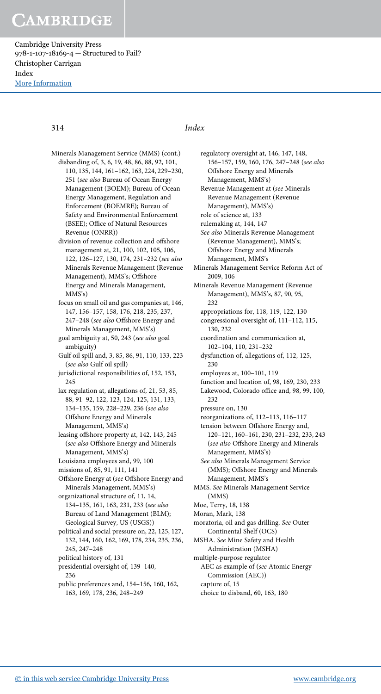Cambridge University Press 978-1-107-18169-4 — Structured to Fail? Christopher Carrigan Index [More Information](www.cambridge.org/9781107181694)

## 314 Index

Minerals Management Service (MMS) (cont.) disbanding of, 3, 6, 19, 48, 86, 88, 92, 101, 110, 135, 144, 161–162, 163, 224, 229–230, 251 (see also Bureau of Ocean Energy Management (BOEM); Bureau of Ocean Energy Management, Regulation and Enforcement (BOEMRE); Bureau of Safety and Environmental Enforcement (BSEE); Office of Natural Resources Revenue (ONRR)) division of revenue collection and offshore management at, 21, 100, 102, 105, 106, 122, 126–127, 130, 174, 231–232 (see also Minerals Revenue Management (Revenue Management), MMS's; Offshore Energy and Minerals Management, MMS's) focus on small oil and gas companies at, 146, 147, 156–157, 158, 176, 218, 235, 237, 247–248 (see also Offshore Energy and Minerals Management, MMS's) goal ambiguity at, 50, 243 (see also goal ambiguity) Gulf oil spill and, 3, 85, 86, 91, 110, 133, 223 (see also Gulf oil spill) jurisdictional responsibilities of, 152, 153, 245 lax regulation at, allegations of, 21, 53, 85, 88, 91–92, 122, 123, 124, 125, 131, 133, 134–135, 159, 228–229, 236 (see also Offshore Energy and Minerals Management, MMS's) leasing offshore property at, 142, 143, 245 (see also Offshore Energy and Minerals Management, MMS's) Louisiana employees and, 99, 100 missions of, 85, 91, 111, 141 Offshore Energy at (see Offshore Energy and Minerals Management, MMS's) organizational structure of, 11, 14, 134–135, 161, 163, 231, 233 (see also Bureau of Land Management (BLM); Geological Survey, US (USGS)) political and social pressure on, 22, 125, 127, 132, 144, 160, 162, 169, 178, 234, 235, 236, 245, 247–248 political history of, 131 presidential oversight of, 139–140, 236 public preferences and, 154–156, 160, 162, 163, 169, 178, 236, 248–249

regulatory oversight at, 146, 147, 148, 156–157, 159, 160, 176, 247–248 (see also Offshore Energy and Minerals Management, MMS's) Revenue Management at (see Minerals Revenue Management (Revenue Management), MMS's) role of science at, 133 rulemaking at, 144, 147 See also Minerals Revenue Management (Revenue Management), MMS's; Offshore Energy and Minerals Management, MMS's Minerals Management Service Reform Act of 2009, 106 Minerals Revenue Management (Revenue Management), MMS's, 87, 90, 95, 232 appropriations for, 118, 119, 122, 130 congressional oversight of, 111–112, 115, 130, 232 coordination and communication at, 102–104, 110, 231–232 dysfunction of, allegations of, 112, 125, 230 employees at, 100–101, 119 function and location of, 98, 169, 230, 233 Lakewood, Colorado office and, 98, 99, 100,  $232$ pressure on, 130 reorganizations of, 112–113, 116–117 tension between Offshore Energy and, 120–121, 160–161, 230, 231–232, 233, 243 (see also Offshore Energy and Minerals Management, MMS's) See also Minerals Management Service (MMS); Offshore Energy and Minerals Management, MMS's MMS. See Minerals Management Service (MMS) Moe, Terry, 18, 138 Moran, Mark, 138 moratoria, oil and gas drilling. See Outer Continental Shelf (OCS) MSHA. See Mine Safety and Health Administration (MSHA) multiple-purpose regulator AEC as example of (see Atomic Energy Commission (AEC))

capture of, 15

choice to disband, 60, 163, 180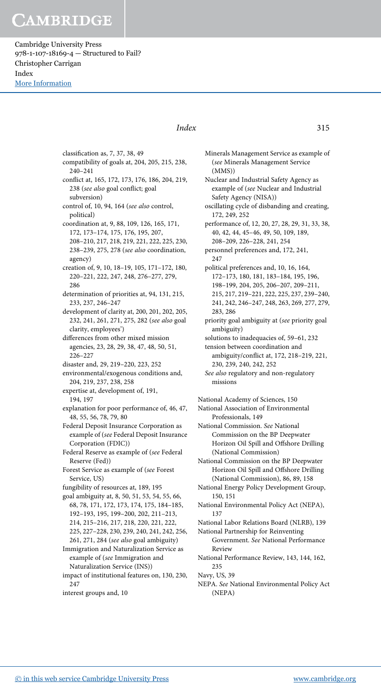Cambridge University Press 978-1-107-18169-4 — Structured to Fail? Christopher Carrigan Index [More Information](www.cambridge.org/9781107181694)

> classification as, 7, 37, 38, 49 compatibility of goals at, 204, 205, 215, 238, 240–241 conflict at, 165, 172, 173, 176, 186, 204, 219, 238 (see also goal conflict; goal subversion) control of, 10, 94, 164 (see also control, political) coordination at, 9, 88, 109, 126, 165, 171, 172, 173–174, 175, 176, 195, 207, 208–210, 217, 218, 219, 221, 222, 225, 230, 238–239, 275, 278 (see also coordination, agency) creation of, 9, 10, 18–19, 105, 171–172, 180, 220–221, 222, 247, 248, 276–277, 279, 286 determination of priorities at, 94, 131, 215, 233, 237, 246–247 development of clarity at, 200, 201, 202, 205, 232, 241, 261, 271, 275, 282 (see also goal clarity, employees') differences from other mixed mission agencies, 23, 28, 29, 38, 47, 48, 50, 51, 226–227 disaster and, 29, 219–220, 223, 252 environmental/exogenous conditions and, 204, 219, 237, 238, 258 expertise at, development of, 191, 194, 197 explanation for poor performance of, 46, 47, 48, 55, 56, 78, 79, 80 Federal Deposit Insurance Corporation as example of (see Federal Deposit Insurance Corporation (FDIC)) Federal Reserve as example of (see Federal Reserve (Fed)) Forest Service as example of (see Forest Service, US) fungibility of resources at, 189, 195 goal ambiguity at, 8, 50, 51, 53, 54, 55, 66, 68, 78, 171, 172, 173, 174, 175, 184–185, 192–193, 195, 199–200, 202, 211–213, 214, 215–216, 217, 218, 220, 221, 222, 225, 227–228, 230, 239, 240, 241, 242, 256, 261, 271, 284 (see also goal ambiguity) Immigration and Naturalization Service as example of (see Immigration and Naturalization Service (INS)) impact of institutional features on, 130, 230, 247

interest groups and, 10

## Index 315

Minerals Management Service as example of (see Minerals Management Service (MMS)) Nuclear and Industrial Safety Agency as example of (see Nuclear and Industrial Safety Agency (NISA)) oscillating cycle of disbanding and creating, 172, 249, 252 performance of, 12, 20, 27, 28, 29, 31, 33, 38, 40, 42, 44, 45–46, 49, 50, 109, 189, 208–209, 226–228, 241, 254 personnel preferences and, 172, 241, 247 political preferences and, 10, 16, 164, 172–173, 180, 181, 183–184, 195, 196, 198–199, 204, 205, 206–207, 209–211, 215, 217, 219–221, 222, 225, 237, 239–240, 241, 242, 246–247, 248, 263, 269, 277, 279, 283, 286 priority goal ambiguity at (see priority goal ambiguity) solutions to inadequacies of, 59–61, 232 tension between coordination and ambiguity/conflict at, 172, 218–219, 221, 230, 239, 240, 242, 252 See also regulatory and non-regulatory missions

National Academy of Sciences, 150

National Association of Environmental Professionals, 149

National Commission. See National Commission on the BP Deepwater Horizon Oil Spill and Offshore Drilling (National Commission)

National Commission on the BP Deepwater Horizon Oil Spill and Offshore Drilling (National Commission), 86, 89, 158

- National Energy Policy Development Group, 150, 151
- National Environmental Policy Act (NEPA), 137

National Labor Relations Board (NLRB), 139

- National Partnership for Reinventing Government. See National Performance Review
- National Performance Review, 143, 144, 162, 235

Navy, US, 39

NEPA. See National Environmental Policy Act (NEPA)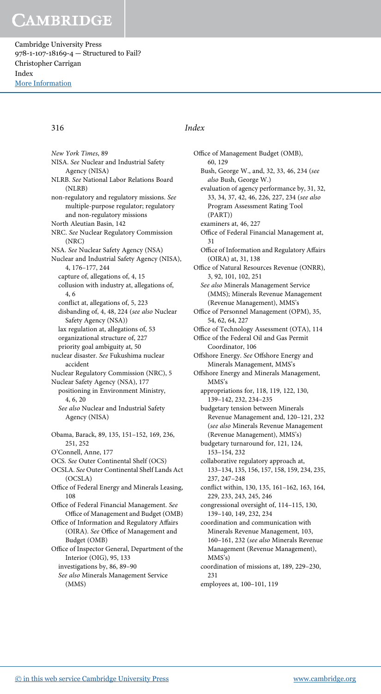Cambridge University Press 978-1-107-18169-4 — Structured to Fail? Christopher Carrigan Index [More Information](www.cambridge.org/9781107181694)

316 Index

New York Times, 89 NISA. See Nuclear and Industrial Safety Agency (NISA) NLRB. See National Labor Relations Board (NLRB) non-regulatory and regulatory missions. See multiple-purpose regulator; regulatory and non-regulatory missions North Aleutian Basin, 142 NRC. See Nuclear Regulatory Commission (NRC) NSA. See Nuclear Safety Agency (NSA) Nuclear and Industrial Safety Agency (NISA), 4, 176–177, 244 capture of, allegations of, 4, 15 collusion with industry at, allegations of, 4, 6 conflict at, allegations of, 5, 223 disbanding of, 4, 48, 224 (see also Nuclear Safety Agency (NSA)) lax regulation at, allegations of, 53 organizational structure of, 227 priority goal ambiguity at, 50 nuclear disaster. See Fukushima nuclear accident Nuclear Regulatory Commission (NRC), 5 Nuclear Safety Agency (NSA), 177 positioning in Environment Ministry, 4, 6, 20 See also Nuclear and Industrial Safety Agency (NISA) Obama, Barack, 89, 135, 151–152, 169, 236, 251, 252 O'Connell, Anne, 177 OCS. See Outer Continental Shelf (OCS) OCSLA. See Outer Continental Shelf Lands Act (OCSLA) Office of Federal Energy and Minerals Leasing, 108 Office of Federal Financial Management. See Office of Management and Budget (OMB) Office of Information and Regulatory Affairs (OIRA). See Office of Management and Budget (OMB) Office of Inspector General, Department of the Interior (OIG), 95, 133 investigations by, 86, 89–90 See also Minerals Management Service (MMS)

Office of Management Budget (OMB), 60, 129 Bush, George W., and, 32, 33, 46, 234 (see also Bush, George W.) evaluation of agency performance by, 31, 32, 33, 34, 37, 42, 46, 226, 227, 234 (see also Program Assessment Rating Tool (PART)) examiners at, 46, 227 Office of Federal Financial Management at, 31 Office of Information and Regulatory Affairs (OIRA) at, 31, 138 Office of Natural Resources Revenue (ONRR), 3, 92, 101, 102, 251 See also Minerals Management Service (MMS); Minerals Revenue Management (Revenue Management), MMS's Office of Personnel Management (OPM), 35, 54, 62, 64, 227 Office of Technology Assessment (OTA), 114 Office of the Federal Oil and Gas Permit Coordinator, 106 Offshore Energy. See Offshore Energy and Minerals Management, MMS's Offshore Energy and Minerals Management, MMS's appropriations for, 118, 119, 122, 130, 139–142, 232, 234–235 budgetary tension between Minerals Revenue Management and, 120–121, 232 (see also Minerals Revenue Management (Revenue Management), MMS's) budgetary turnaround for, 121, 124, 153–154, 232 collaborative regulatory approach at, 133–134, 135, 156, 157, 158, 159, 234, 235, 237, 247–248 conflict within, 130, 135, 161–162, 163, 164, 229, 233, 243, 245, 246 congressional oversight of, 114–115, 130, 139–140, 149, 232, 234 coordination and communication with Minerals Revenue Management, 103, 160–161, 232 (see also Minerals Revenue Management (Revenue Management), MMS's) coordination of missions at, 189, 229–230, 231

employees at, 100–101, 119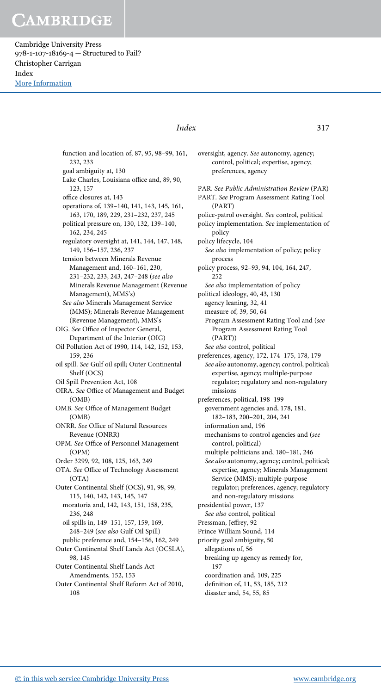Cambridge University Press 978-1-107-18169-4 — Structured to Fail? Christopher Carrigan Index [More Information](www.cambridge.org/9781107181694)

> function and location of, 87, 95, 98–99, 161, 232, 233 goal ambiguity at, 130 Lake Charles, Louisiana office and, 89, 90, 123, 157 office closures at, 143 operations of, 139–140, 141, 143, 145, 161, 163, 170, 189, 229, 231–232, 237, 245 political pressure on, 130, 132, 139–140, 162, 234, 245 regulatory oversight at, 141, 144, 147, 148, 149, 156–157, 236, 237 tension between Minerals Revenue Management and, 160–161, 230, 231–232, 233, 243, 247–248 (see also Minerals Revenue Management (Revenue Management), MMS's) See also Minerals Management Service (MMS); Minerals Revenue Management (Revenue Management), MMS's OIG. See Office of Inspector General, Department of the Interior (OIG) Oil Pollution Act of 1990, 114, 142, 152, 153, 159, 236 oil spill. See Gulf oil spill; Outer Continental Shelf (OCS) Oil Spill Prevention Act, 108 OIRA. See Office of Management and Budget (OMB) OMB. See Office of Management Budget (OMB) ONRR. See Office of Natural Resources Revenue (ONRR) OPM. See Office of Personnel Management (OPM) Order 3299, 92, 108, 125, 163, 249 OTA. See Office of Technology Assessment (OTA) Outer Continental Shelf (OCS), 91, 98, 99, 115, 140, 142, 143, 145, 147 moratoria and, 142, 143, 151, 158, 235, 236, 248 oil spills in, 149–151, 157, 159, 169, 248–249 (see also Gulf Oil Spill) public preference and, 154–156, 162, 249 Outer Continental Shelf Lands Act (OCSLA), 98, 145 Outer Continental Shelf Lands Act Amendments, 152, 153 Outer Continental Shelf Reform Act of 2010, 108

### Index 317

control, political; expertise, agency; preferences, agency PAR. See Public Administration Review (PAR) PART. See Program Assessment Rating Tool (PART) police-patrol oversight. See control, political policy implementation. See implementation of policy policy lifecycle, 104 See also implementation of policy; policy process policy process, 92–93, 94, 104, 164, 247, 252 See also implementation of policy political ideology, 40, 43, 130 agency leaning, 32, 41 measure of, 39, 50, 64 Program Assessment Rating Tool and (see Program Assessment Rating Tool (PART)) See also control, political preferences, agency, 172, 174–175, 178, 179 See also autonomy, agency; control, political; expertise, agency; multiple-purpose regulator; regulatory and non-regulatory missions preferences, political, 198–199 government agencies and, 178, 181, 182–183, 200–201, 204, 241 information and, 196 mechanisms to control agencies and (see control, political) multiple politicians and, 180–181, 246 See also autonomy, agency; control, political; expertise, agency; Minerals Management Service (MMS); multiple-purpose regulator; preferences, agency; regulatory and non-regulatory missions presidential power, 137 See also control, political Pressman, Jeffrey, 92 Prince William Sound, 114 priority goal ambiguity, 50 allegations of, 56 breaking up agency as remedy for, 197 coordination and, 109, 225 definition of, 11, 53, 185, 212 disaster and, 54, 55, 85

oversight, agency. See autonomy, agency;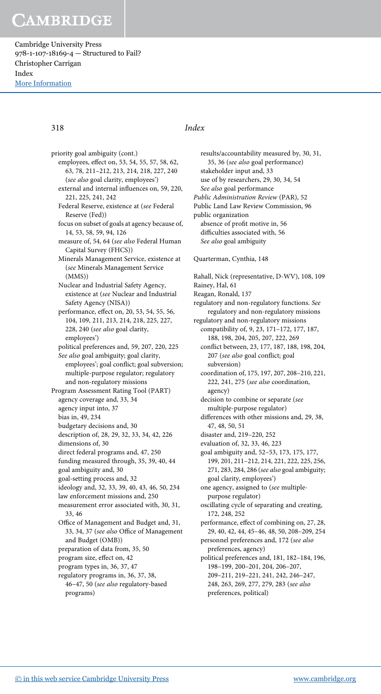Cambridge University Press 978-1-107-18169-4 — Structured to Fail? Christopher Carrigan Index [More Information](www.cambridge.org/9781107181694)

priority goal ambiguity (cont.) employees, effect on, 53, 54, 55, 57, 58, 62, 63, 78, 211–212, 213, 214, 218, 227, 240 (see also goal clarity, employees') external and internal influences on, 59, 220, 221, 225, 241, 242 Federal Reserve, existence at (see Federal Reserve (Fed)) focus on subset of goals at agency because of, 14, 53, 58, 59, 94, 126 measure of, 54, 64 (see also Federal Human Capital Survey (FHCS)) Minerals Management Service, existence at (see Minerals Management Service (MMS)) Nuclear and Industrial Safety Agency, existence at (see Nuclear and Industrial Safety Agency (NISA)) performance, effect on, 20, 53, 54, 55, 56, 104, 109, 211, 213, 214, 218, 225, 227, 228, 240 (see also goal clarity, employees') political preferences and, 59, 207, 220, 225 See also goal ambiguity; goal clarity, employees'; goal conflict; goal subversion; multiple-purpose regulator; regulatory and non-regulatory missions Program Assessment Rating Tool (PART) agency coverage and, 33, 34 agency input into, 37 bias in, 49, 234 budgetary decisions and, 30 description of, 28, 29, 32, 33, 34, 42, 226 dimensions of, 30 direct federal programs and, 47, 250 funding measured through, 35, 39, 40, 44 goal ambiguity and, 30 goal-setting process and, 32 ideology and, 32, 33, 39, 40, 43, 46, 50, 234 law enforcement missions and, 250 measurement error associated with, 30, 31, 33, 46 Office of Management and Budget and, 31, 33, 34, 37 (see also Office of Management and Budget (OMB)) preparation of data from, 35, 50 program size, effect on, 42 program types in, 36, 37, 47 regulatory programs in, 36, 37, 38, 46–47, 50 (see also regulatory-based programs)

## 318 Index

results/accountability measured by, 30, 31, 35, 36 (see also goal performance) stakeholder input and, 33 use of by researchers, 29, 30, 34, 54 See also goal performance Public Administration Review (PAR), 52 Public Land Law Review Commission, 96 public organization absence of profit motive in, 56 difficulties associated with, 56 See also goal ambiguity Quarterman, Cynthia, 148 Rahall, Nick (representative, D-WV), 108, 109 Rainey, Hal, 61 Reagan, Ronald, 137 regulatory and non-regulatory functions. See regulatory and non-regulatory missions regulatory and non-regulatory missions compatibility of, 9, 23, 171–172, 177, 187, 188, 198, 204, 205, 207, 222, 269 conflict between, 23, 177, 187, 188, 198, 204, 207 (see also goal conflict; goal subversion) coordination of, 175, 197, 207, 208–210, 221, 222, 241, 275 (see also coordination, agency) decision to combine or separate (see multiple-purpose regulator) differences with other missions and, 29, 38, 47, 48, 50, 51 disaster and, 219–220, 252 evaluation of, 32, 33, 46, 223 goal ambiguity and, 52–53, 173, 175, 177, 199, 201, 211–212, 214, 221, 222, 225, 256, 271, 283, 284, 286 (see also goal ambiguity; goal clarity, employees') one agency, assigned to (see multiplepurpose regulator) oscillating cycle of separating and creating, 172, 248, 252 performance, effect of combining on, 27, 28, 29, 40, 42, 44, 45–46, 48, 50, 208–209, 254

personnel preferences and, 172 (see also preferences, agency)

political preferences and, 181, 182–184, 196, 198–199, 200–201, 204, 206–207, 209–211, 219–221, 241, 242, 246–247, 248, 263, 269, 277, 279, 283 (see also preferences, political)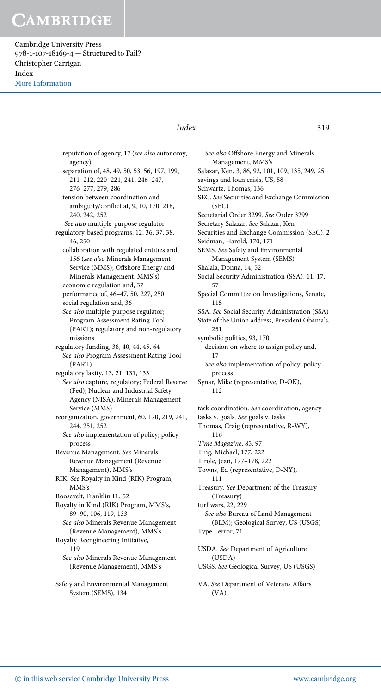Cambridge University Press 978-1-107-18169-4 — Structured to Fail? Christopher Carrigan Index [More Information](www.cambridge.org/9781107181694)

## Index 319

reputation of agency, 17 (see also autonomy, agency) separation of, 48, 49, 50, 53, 56, 197, 199, 211–212, 220–221, 241, 246–247, 276–277, 279, 286 tension between coordination and ambiguity/conflict at, 9, 10, 170, 218, 240, 242, 252 See also multiple-purpose regulator regulatory-based programs, 12, 36, 37, 38, 46, 250 collaboration with regulated entities and, 156 (see also Minerals Management Service (MMS); Offshore Energy and Minerals Management, MMS's) economic regulation and, 37 performance of, 46–47, 50, 227, 250 social regulation and, 36 See also multiple-purpose regulator; Program Assessment Rating Tool (PART); regulatory and non-regulatory missions regulatory funding, 38, 40, 44, 45, 64 See also Program Assessment Rating Tool (PART) regulatory laxity, 13, 21, 131, 133 See also capture, regulatory; Federal Reserve (Fed); Nuclear and Industrial Safety Agency (NISA); Minerals Management Service (MMS) reorganization, government, 60, 170, 219, 241, 244, 251, 252 See also implementation of policy; policy process Revenue Management. See Minerals Revenue Management (Revenue Management), MMS's RIK. See Royalty in Kind (RIK) Program, MMS's Roosevelt, Franklin D., 52 Royalty in Kind (RIK) Program, MMS's, 89–90, 106, 119, 133 See also Minerals Revenue Management (Revenue Management), MMS's Royalty Reengineering Initiative, 119 See also Minerals Revenue Management (Revenue Management), MMS's Safety and Environmental Management System (SEMS), 134

See also Offshore Energy and Minerals Management, MMS's Salazar, Ken, 3, 86, 92, 101, 109, 135, 249, 251 savings and loan crisis, US, 58 Schwartz, Thomas, 136 SEC. See Securities and Exchange Commission (SEC) Secretarial Order 3299. See Order 3299 Secretary Salazar. See Salazar, Ken Securities and Exchange Commission (SEC), 2 Seidman, Harold, 170, 171 SEMS. See Safety and Environmental Management System (SEMS) Shalala, Donna, 14, 52 Social Security Administration (SSA), 11, 17, 57 Special Committee on Investigations, Senate, 115 SSA. See Social Security Administration (SSA) State of the Union address, President Obama's, 251 symbolic politics, 93, 170 decision on where to assign policy and, 17 See also implementation of policy; policy process Synar, Mike (representative, D-OK), 112 task coordination. See coordination, agency tasks v. goals. See goals v. tasks Thomas, Craig (representative, R-WY), 116 Time Magazine, 85, 97 Ting, Michael, 177, 222 Tirole, Jean, 177–178, 222 Towns, Ed (representative, D-NY), 111 Treasury. See Department of the Treasury (Treasury) turf wars, 22, 229 See also Bureau of Land Management (BLM); Geological Survey, US (USGS) Type I error, 71 USDA. See Department of Agriculture (USDA) USGS. See Geological Survey, US (USGS)

VA. See Department of Veterans Affairs (VA)